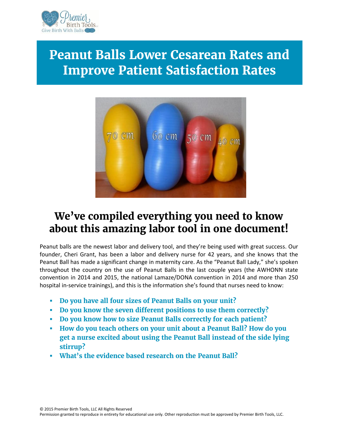

# **Peanut Balls Lower Cesarean Rates and Improve Patient Satisfaction Rates**



## **We've compiled everything you need to know about this amazing labor tool in one document!**

Peanut balls are the newest labor and delivery tool, and they're being used with great success. Our founder, Cheri Grant, has been a labor and delivery nurse for 42 years, and she knows that the Peanut Ball has made a significant change in maternity care. As the "Peanut Ball Lady," she's spoken throughout the country on the use of Peanut Balls in the last couple years (the AWHONN state convention in 2014 and 2015, the national Lamaze/DONA convention in 2014 and more than 250 hospital in-service trainings), and this is the information she's found that nurses need to know:

- **Do you have all four sizes of Peanut Balls on your unit?**
- **Do you know the seven different positions to use them correctly?**
- **Do you know how to size Peanut Balls correctly for each patient?**
- **How do you teach others on your unit about a Peanut Ball? How do you get a nurse excited about using the Peanut Ball instead of the side lying stirrup?**
- **What's the evidence based research on the Peanut Ball?**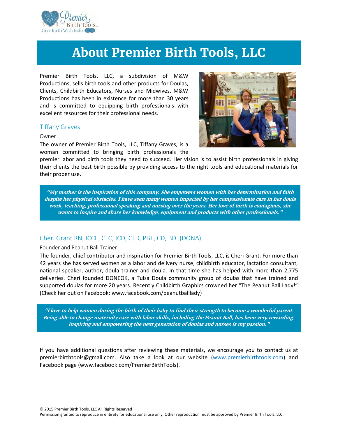

## **About Premier Birth Tools, LLC**

Premier Birth Tools, LLC, a subdivision of M&W Productions, sells birth tools and other products for Doulas, Clients, Childbirth Educators, Nurses and Midwives. M&W Productions has been in existence for more than 30 years and is committed to equipping birth professionals with excellent resources for their professional needs.

#### **Tiffany Graves**

#### **Owner**

The owner of Premier Birth Tools, LLC, Tiffany Graves, is a woman committed to bringing birth professionals the



premier labor and birth tools they need to succeed. Her vision is to assist birth professionals in giving their clients the best birth possible by providing access to the right tools and educational materials for their proper use.

*"My mother is the inspiration of this company. She empowers women with her determination and faith despite her physical obstacles. I have seen many women impacted by her compassionate care in her doula work, teaching, professional speaking and nursing over the years. Her love of birth is contagious, she wants to inspire and share her knowledge, equipment and products with other professionals."*

### **Cheri Grant RN, ICCE, CLC, ICD, CLD, PBT, CD, BDT(DONA)**

#### **Founder and Peanut Ball Trainer**

The founder, chief contributor and inspiration for Premier Birth Tools, LLC, is Cheri Grant. For more than 42 years she has served women as a labor and delivery nurse, childbirth educator, lactation consultant, national speaker, author, doula trainer and doula. In that time she has helped with more than 2,775 deliveries. Cheri founded DONEOK, a Tulsa Doula community group of doulas that have trained and supported doulas for more 20 years. Recently Childbirth Graphics crowned her "The Peanut Ball Lady!" (Check her out on Facebook: www.facebook.com/peanutballlady)

*"l love to help women during the birth of their baby to find their strength to become a wonderful parent. Being able to change maternity care with labor skills, including the Peanut Ball, has been very rewarding. Inspiring and empowering the next generation of doulas and nurses is my passion."*

If you have additional questions after reviewing these materials, we encourage you to contact us at premierbirthtools@gmail.com. Also take a look at our website (www.premierbirthtools.com) and Facebook page (www.facebook.com/PremierBirthTools).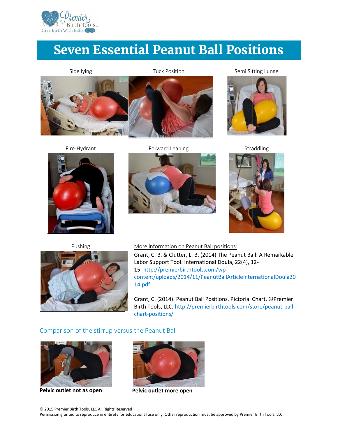

# **Seven Essential Peanut Ball Positions**

**Side lying Tuck Position Semi Sitting Lunge**





**Fire-Hydrant Forward Leaning Straddling**









**Pushing More information on Peanut Ball positions:**

Grant, C. B. & Clutter, L. B. (2014) The Peanut Ball: A Remarkable Labor Support Tool. International Doula, 22(4), 12- 15. http://premierbirthtools.com/wp content/uploads/2014/11/PeanutBallArticleInternationalDoula20 14.pdf

Grant, C. (2014). Peanut Ball Positions. Pictorial Chart. ©Premier Birth Tools, LLC. http://premierbirthtools.com/store/peanut-ball chart-positions/

#### **Comparison of the stirrup versus the Peanut Ball**



**Pelvic outlet not as open** 



**Pelvic outlet more open**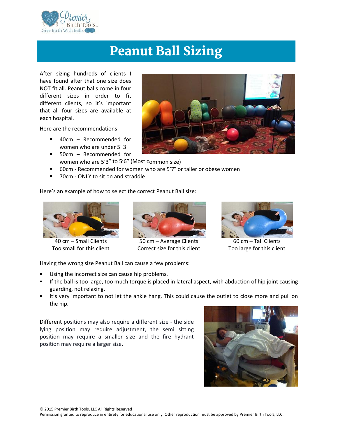

# **Peanut Ball Sizing**

After sizing hundreds of clients I have found after that one size does NOT fit all. Peanut balls come in four different sizes in order to fit different clients, so it's important that all four sizes are available at each hospital.

Here are the recommendations:

- 40cm Recommended for women who are under 5' 3
- 50cm Recommended for women who are 5'3″ to 5'6″ (Most common size)
- 60cm Recommended for women who are 5'7" or taller or obese women
- 70cm ONLY to sit on and straddle

Here's an example of how to select the correct Peanut Ball size:



40 cm – Small Clients Too small for this client



50 cm – Average Clients Correct size for this client



60 cm – Tall Clients Too large for this client

Having the wrong size Peanut Ball can cause a few problems:

- Using the incorrect size can cause hip problems.
- If the ball is too large, too much torque is placed in lateral aspect, with abduction of hip joint causing guarding, not relaxing.
- It's very important to not let the ankle hang. This could cause the outlet to close more and pull on the hip.

Different positions may also require a different size - the side lying position may require adjustment, the semi sitting position may require a smaller size and the fire hydrant position may require a larger size.



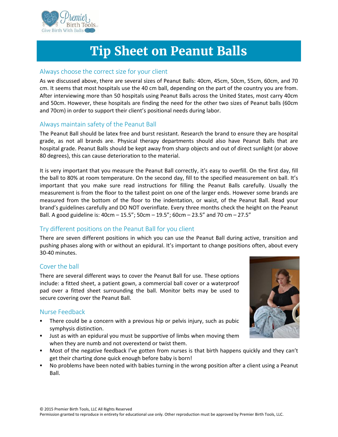

# **Tip Sheet on Peanut Balls**

#### **Always choose the correct size for your client**

As we discussed above, there are several sizes of Peanut Balls: 40cm, 45cm, 50cm, 55cm, 60cm, and 70 cm. It seems that most hospitals use the 40 cm ball, depending on the part of the country you are from. After interviewing more than 50 hospitals using Peanut Balls across the United States, most carry 40cm and 50cm. However, these hospitals are finding the need for the other two sizes of Peanut balls (60cm and 70cm) in order to support their client's positional needs during labor.

### **Always maintain safety of the Peanut Ball**

The Peanut Ball should be latex free and burst resistant. Research the brand to ensure they are hospital grade, as not all brands are. Physical therapy departments should also have Peanut Balls that are hospital grade. Peanut Balls should be kept away from sharp objects and out of direct sunlight (or above 80 degrees), this can cause deterioration to the material.

It is very important that you measure the Peanut Ball correctly, it's easy to overfill. On the first day, fill the ball to 80% at room temperature. On the second day, fill to the specified measurement on ball. It's important that you make sure read instructions for filling the Peanut Balls carefully. Usually the measurement is from the floor to the tallest point on one of the larger ends. However some brands are measured from the bottom of the floor to the indentation, or waist, of the Peanut Ball. Read your brand's guidelines carefully and DO NOT overinflate. Every three months check the height on the Peanut Ball. A good guideline is:  $40cm - 15.5$ ";  $50cm - 19.5$ ";  $60cm - 23.5$ " and 70 cm  $- 27.5$ "

### **Try different positions on the Peanut Ball for you client**

There are seven different positions in which you can use the Peanut Ball during active, transition and pushing phases along with or without an epidural. It's important to change positions often, about every 30-40 minutes.

#### **Cover the ball**

There are several different ways to cover the Peanut Ball for use. These options include: a fitted sheet, a patient gown, a commercial ball cover or a waterproof pad over a fitted sheet surrounding the ball. Monitor belts may be used to secure covering over the Peanut Ball.

#### **Nurse Feedback**

- There could be a concern with a previous hip or pelvis injury, such as pubic symphysis distinction.
- Just as with an epidural you must be supportive of limbs when moving them when they are numb and not overextend or twist them.
- Most of the negative feedback I've gotten from nurses is that birth happens quickly and they can't get their charting done quick enough before baby is born!
- No problems have been noted with babies turning in the wrong position after a client using a Peanut Ball.

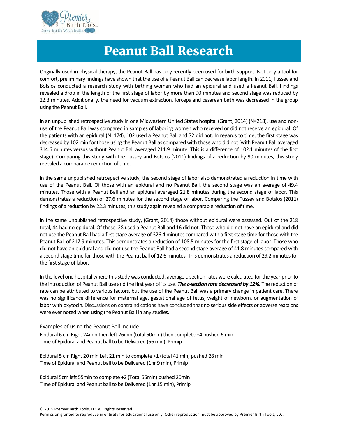

## **Peanut Ball Research**

Originally used in physical therapy, the Peanut Ball has only recently been used for birth support. Not only a tool for comfort, preliminary findings have shown that the use of a Peanut Ball can decrease labor length. In 2011, Tussey and Botsios conducted a research study with birthing women who had an epidural and used a Peanut Ball. Findings revealed a drop in the length of the first stage of labor by more than 90 minutes and second stage was reduced by 22.3 minutes. Additionally, the need for vacuum extraction, forceps and cesarean birth was decreased in the group using the Peanut Ball.

In an unpublished retrospective study in one Midwestern United States hospital (Grant, 2014) (N=218), use and non use of the Peanut Ball was compared in samples of laboring women who received or did not receive an epidural. Of the patients with an epidural (N=174), 102 used a Peanut Ball and 72 did not. In regards to time, the first stage was decreased by 102 min for those using the Peanut Ball as compared with those who did not (with Peanut Ball averaged 314.6 minutes versus without Peanut Ball averaged 211.9 minute. This is a difference of 102.1 minutes of the first stage). Comparing this study with the Tussey and Botsios (2011) findings of a reduction by 90 minutes, this study revealed a comparable reduction of time.

In the same unpublished retrospective study, the second stage of labor also demonstrated a reduction in time with use of the Peanut Ball. Of those with an epidural and no Peanut Ball, the second stage was an average of 49.4 minutes. Those with a Peanut Ball and an epidural averaged 21.8 minutes during the second stage of labor. This demonstrates a reduction of 27.6 minutes for the second stage of labor. Comparing the Tussey and Botsios (2011) findings of a reduction by 22.3 minutes, this study again revealed a comparable reduction of time.

In the same unpublished retrospective study, (Grant, 2014) those without epidural were assessed. Out of the 218 total, 44 had no epidural. Of those, 28 used a Peanut Ball and 16 did not. Those who did not have an epidural and did not use the Peanut Ball had a first stage average of 326.4 minutes compared with a first stage time for those with the Peanut Ball of 217.9 minutes. This demonstrates a reduction of 108.5 minutes for the first stage of labor. Those who did not have an epidural and did not use the Peanut Ball had a second stage average of 41.8 minutes compared with a second stage time for those with the Peanut ball of 12.6 minutes. This demonstrates a reduction of 29.2 minutes for the first stage of labor.

In the level one hospital where this study was conducted, average c-section rates were calculated for the year prior to the introduction of Peanut Ball use and the first year of its use. *The c-section rate decreased by 12%.* The reduction of rate can be attributed to various factors, but the use of the Peanut Ball was a primary change in patient care. There was no significance difference for maternal age, gestational age of fetus, weight of newborn, or augmentation of labor with oxytocin. Discussions on contraindications have concluded that no serious side effects or adverse reactions were ever noted when using the Peanut Ball in any studies.

**Examples of using the Peanut Ball include:**

Epidural 6 cm Right 24min then left 26min (total 50min) then complete +4 pushed 6 min Time of Epidural and Peanut ball to be Delivered (56 min), Primip

Epidural 5 cm Right 20 min Left 21 min to complete +1 (total 41 min) pushed 28 min Time of Epidural and Peanut ball to be Delivered (1hr 9 min), Primip

Epidural 5cm left 55min to complete +2 (Total 55min) pushed 20min Time of Epidural and Peanut ball to be Delivered (1hr 15 min), Primip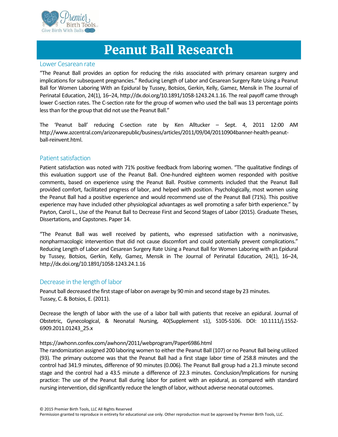

## **Peanut Ball Research**

#### **Lower Cesarean rate**

"The Peanut Ball provides an option for reducing the risks associated with primary cesarean surgery and implications for subsequent pregnancies." Reducing Length of Labor and Cesarean Surgery Rate Using a Peanut Ball for Women Laboring With an Epidural by Tussey, Botsios, Gerkin, Kelly, Gamez, Mensik in The Journal of Perinatal Education, 24(1), 16–24, http://dx.doi.org/10.1891/1058-1243.24.1.16. The real payoff came through lower C-section rates. The C-section rate for the group of women who used the ball was 13 percentage points less than for the group that did not use the Peanut Ball."

The 'Peanut ball' reducing C-section rate by Ken Alltucker – Sept. 4, 2011 12:00 AM http://www.azcentral.com/arizonarepublic/business/articles/2011/09/04/20110904banner-health-peanut ball-reinvent.html.

#### **Patient satisfaction**

Patient satisfaction was noted with 71% positive feedback from laboring women. "The qualitative findings of this evaluation support use of the Peanut Ball. One-hundred eighteen women responded with positive comments, based on experience using the Peanut Ball. Positive comments included that the Peanut Ball provided comfort, facilitated progress of labor, and helped with position. Psychologically, most women using the Peanut Ball had a positive experience and would recommend use of the Peanut Ball (71%). This positive experience may have included other physiological advantages as well promoting a safer birth experience." by Payton, Carol L., Use of the Peanut Ball to Decrease First and Second Stages of Labor (2015). Graduate Theses, Dissertations, and Capstones. Paper 14.

"The Peanut Ball was well received by patients, who expressed satisfaction with a noninvasive, nonpharmacologic intervention that did not cause discomfort and could potentially prevent complications." Reducing Length of Labor and Cesarean Surgery Rate Using a Peanut Ball for Women Laboring with an Epidural by Tussey, Botsios, Gerkin, Kelly, Gamez, Mensik in The Journal of Perinatal Education, 24(1), 16–24, http://dx.doi.org/10.1891/1058-1243.24.1.16

#### **Decrease in the length of labor**

Peanut ball decreased the first stage of labor on average by 90 min and second stage by 23 minutes. Tussey, C. & Botsios, E. (2011).

Decrease the length of labor with the use of a labor ball with patients that receive an epidural. Journal of Obstetric, Gynecological, & Neonatal Nursing, 40(Supplement s1), S105-S106. DOI: 10.1111/j.1552- 6909.2011.01243\_25.x

#### https://awhonn.confex.com/awhonn/2011/webprogram/Paper6986.html

The randomization assigned 200 laboring women to either the Peanut Ball (107) or no Peanut Ball being utilized (93). The primary outcome was that the Peanut Ball had a first stage labor time of 258.8 minutes and the control had 341.9 minutes, difference of 90 minutes (0.006). The Peanut Ball group had a 21.3 minute second stage and the control had a 43.5 minute a difference of 22.3 minutes. Conclusion/Implications for nursing practice: The use of the Peanut Ball during labor for patient with an epidural, as compared with standard nursing intervention, did significantly reduce the length of labor, without adverse neonatal outcomes.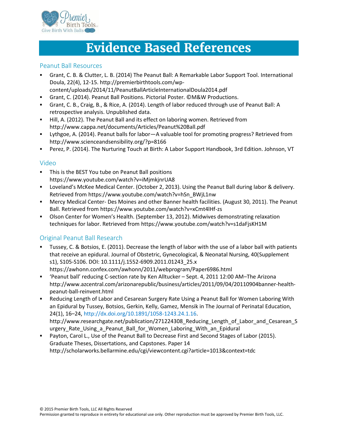

## **Evidence Based References**

#### **Peanut Ball Resources**

- Grant, C. B. & Clutter, L. B. (2014) The Peanut Ball: A Remarkable Labor Support Tool. International Doula, 22(4), 12-15. http://premierbirthtools.com/wp-
- content/uploads/2014/11/PeanutBallArticleInternationalDoula2014.pdf
- Grant, C. (2014). Peanut Ball Positions. Pictorial Poster. ©M&W Productions.
- Grant, C. B., Craig, B., & Rice, A. (2014). Length of labor reduced through use of Peanut Ball: A retrospective analysis. Unpublished data.
- Hill, A. (2012). The Peanut Ball and its effect on laboring women. Retrieved from http://www.cappa.net/documents/Articles/Peanut%20Ball.pdf
- Lythgoe, A. (2014). Peanut balls for labor—A valuable tool for promoting progress? Retrieved from http://www.scienceandsensibility.org/?p=8166
- Perez, P. (2014). The Nurturing Touch at Birth: A Labor Support Handbook, 3rd Edition. Johnson, VT

#### **Video**

- This is the BEST You tube on Peanut Ball positions https://www.youtube.com/watch?v=iMjmkjnrUA8
- Loveland's McKee Medical Center. (October 2, 2013). Using the Peanut Ball during labor & delivery. Retrieved from https://www.youtube.com/watch?v=hSn\_BWjL1nw
- Mercy Medical Center- Des Moines and other Banner health facilities. (August 30, 2011). The Peanut Ball. Retrieved from https://www.youtube.com/watch?v=xCmt4lHf-zs
- Olson Center for Women's Health. (September 13, 2012). Midwives demonstrating relaxation techniques for labor. Retrieved from https://www.youtube.com/watch?v=s1daFjsKH1M

### **Original Peanut Ball Research**

- Tussey, C. & Botsios, E. (2011). Decrease the length of labor with the use of a labor ball with patients that receive an epidural. Journal of Obstetric, Gynecological, & Neonatal Nursing, 40(Supplement s1), S105-S106. DOI: 10.1111/j.1552-6909.2011.01243\_25.x https://awhonn.confex.com/awhonn/2011/webprogram/Paper6986.html
- 'Peanut ball' reducing C-section rate by Ken Alltucker Sept. 4, 2011 12:00 AM–The Arizona http://www.azcentral.com/arizonarepublic/business/articles/2011/09/04/20110904banner-health peanut-ball-reinvent.html
- Reducing Length of Labor and Cesarean Surgery Rate Using a Peanut Ball for Women Laboring With an Epidural by Tussey, Botsios, Gerkin, Kelly, Gamez, Mensik in The Journal of Perinatal Education, 24(1), 16–24, http://dx.doi.org/10.1891/1058-1243.24.1.16. http://www.researchgate.net/publication/271224308 Reducing Length of Labor and Cesarean S urgery Rate Using a Peanut Ball for Women Laboring With an Epidural
- Payton, Carol L., Use of the Peanut Ball to Decrease First and Second Stages of Labor (2015). Graduate Theses, Dissertations, and Capstones. Paper 14 http://scholarworks.bellarmine.edu/cgi/viewcontent.cgi?article=1013&context=tdc